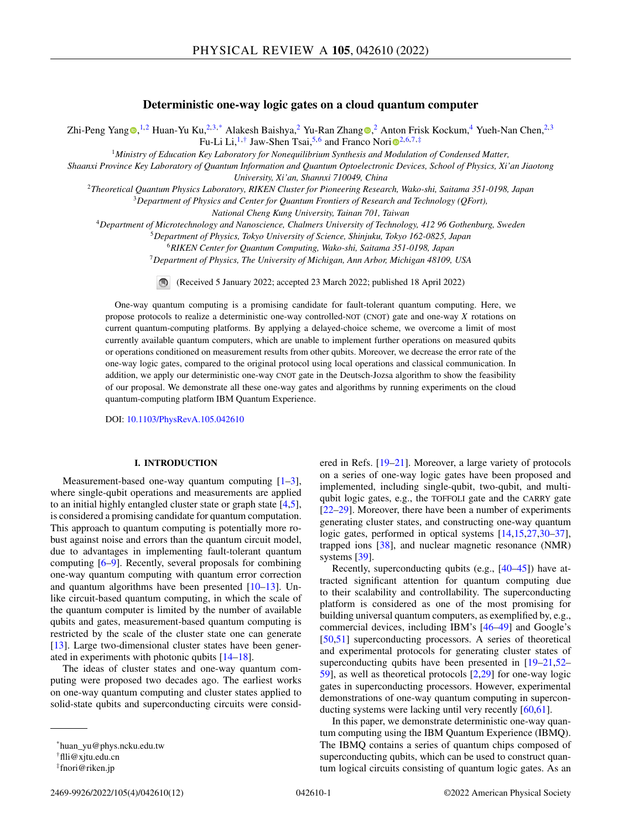# **Deterministic one-way logic gates on a cloud quantum computer**

Zhi-Peng Yang D[,](https://orcid.org/0000-0003-0867-7553)<sup>1,2</sup> Huan-Yu Ku,<sup>2,3,\*</sup> Alakesh Baishya,<sup>2</sup> Yu-Ran Zhan[g](https://orcid.org/0000-0002-6893-2053) D,<sup>2</sup> Anton Frisk Kockum,<sup>4</sup> Yueh-Nan Chen,<sup>2,3</sup> Fu-L[i](https://orcid.org/0000-0003-3682-7432) Li,<sup>1,†</sup> Jaw-Shen Tsai,<sup>5,6</sup> and Franco Nori<sup>o2,6,7,‡</sup>

<sup>1</sup>*Ministry of Education Key Laboratory for Nonequilibrium Synthesis and Modulation of Condensed Matter,*

*Shaanxi Province Key Laboratory of Quantum Information and Quantum Optoelectronic Devices, School of Physics, Xi'an Jiaotong University, Xi'an, Shannxi 710049, China*

<sup>2</sup>*Theoretical Quantum Physics Laboratory, RIKEN Cluster for Pioneering Research, Wako-shi, Saitama 351-0198, Japan*

<sup>3</sup>*Department of Physics and Center for Quantum Frontiers of Research and Technology (QFort),*

*National Cheng Kung University, Tainan 701, Taiwan*

<sup>4</sup>*Department of Microtechnology and Nanoscience, Chalmers University of Technology, 412 96 Gothenburg, Sweden*

<sup>5</sup>*Department of Physics, Tokyo University of Science, Shinjuku, Tokyo 162-0825, Japan*

<sup>6</sup>*RIKEN Center for Quantum Computing, Wako-shi, Saitama 351-0198, Japan*

<sup>7</sup>*Department of Physics, The University of Michigan, Ann Arbor, Michigan 48109, USA*

(Received 5 January 2022; accepted 23 March 2022; published 18 April 2022)

One-way quantum computing is a promising candidate for fault-tolerant quantum computing. Here, we propose protocols to realize a deterministic one-way controlled-NOT (CNOT) gate and one-way *X* rotations on current quantum-computing platforms. By applying a delayed-choice scheme, we overcome a limit of most currently available quantum computers, which are unable to implement further operations on measured qubits or operations conditioned on measurement results from other qubits. Moreover, we decrease the error rate of the one-way logic gates, compared to the original protocol using local operations and classical communication. In addition, we apply our deterministic one-way CNOT gate in the Deutsch-Jozsa algorithm to show the feasibility of our proposal. We demonstrate all these one-way gates and algorithms by running experiments on the cloud quantum-computing platform IBM Quantum Experience.

DOI: [10.1103/PhysRevA.105.042610](https://doi.org/10.1103/PhysRevA.105.042610)

#### **I. INTRODUCTION**

Measurement-based one-way quantum computing  $[1-3]$ , where single-qubit operations and measurements are applied to an initial highly entangled cluster state or graph state [\[4,5\]](#page-9-0), is considered a promising candidate for quantum computation. This approach to quantum computing is potentially more robust against noise and errors than the quantum circuit model, due to advantages in implementing fault-tolerant quantum computing [\[6–9\]](#page-9-0). Recently, several proposals for combining one-way quantum computing with quantum error correction and quantum algorithms have been presented [\[10–13\]](#page-9-0). Unlike circuit-based quantum computing, in which the scale of the quantum computer is limited by the number of available qubits and gates, measurement-based quantum computing is restricted by the scale of the cluster state one can generate [\[13\]](#page-9-0). Large two-dimensional cluster states have been generated in experiments with photonic qubits [\[14–18\]](#page-9-0).

The ideas of cluster states and one-way quantum computing were proposed two decades ago. The earliest works on one-way quantum computing and cluster states applied to solid-state qubits and superconducting circuits were consid-

2469-9926/2022/105(4)/042610(12) 042610-1 ©2022 American Physical Society

ered in Refs. [\[19](#page-9-0)[–21\]](#page-10-0). Moreover, a large variety of protocols on a series of one-way logic gates have been proposed and implemented, including single-qubit, two-qubit, and multiqubit logic gates, e.g., the TOFFOLI gate and the CARRY gate [\[22–29\]](#page-10-0). Moreover, there have been a number of experiments generating cluster states, and constructing one-way quantum logic gates, performed in optical systems [\[14,15,](#page-9-0)[27,30–37\]](#page-10-0), trapped ions [\[38\]](#page-10-0), and nuclear magnetic resonance (NMR) systems [\[39\]](#page-10-0).

Recently, superconducting qubits (e.g., [\[40–45\]](#page-10-0)) have attracted significant attention for quantum computing due to their scalability and controllability. The superconducting platform is considered as one of the most promising for building universal quantum computers, as exemplified by, e.g., commercial devices, including IBM's [\[46–49\]](#page-10-0) and Google's [\[50,51\]](#page-10-0) superconducting processors. A series of theoretical and experimental protocols for generating cluster states of superconducting qubits have been presented in [\[19–](#page-9-0)[21,52–](#page-10-0) [59\]](#page-11-0), as well as theoretical protocols [\[2](#page-9-0)[,29\]](#page-10-0) for one-way logic gates in superconducting processors. However, experimental demonstrations of one-way quantum computing in superconducting systems were lacking until very recently [\[60,61\]](#page-11-0).

In this paper, we demonstrate deterministic one-way quantum computing using the IBM Quantum Experience (IBMQ). The IBMQ contains a series of quantum chips composed of superconducting qubits, which can be used to construct quantum logical circuits consisting of quantum logic gates. As an

<sup>\*</sup>huan\_yu@phys.ncku.edu.tw

<sup>†</sup>flli@xjtu.edu.cn

<sup>‡</sup>fnori@riken.jp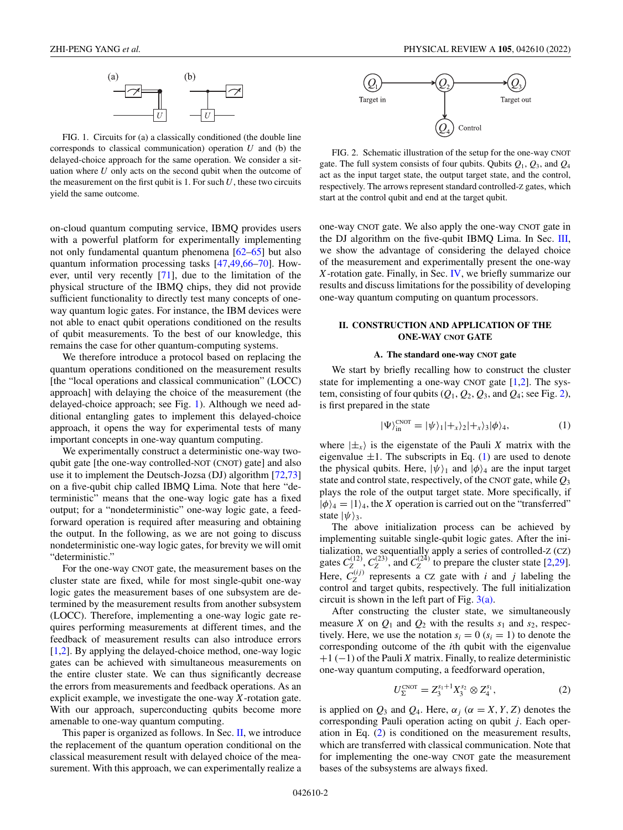<span id="page-1-0"></span>

FIG. 1. Circuits for (a) a classically conditioned (the double line corresponds to classical communication) operation *U* and (b) the delayed-choice approach for the same operation. We consider a situation where *U* only acts on the second qubit when the outcome of the measurement on the first qubit is 1. For such  $U$ , these two circuits yield the same outcome.

on-cloud quantum computing service, IBMQ provides users with a powerful platform for experimentally implementing not only fundamental quantum phenomena [\[62–65\]](#page-11-0) but also quantum information processing tasks [\[47,49,](#page-10-0)[66–70\]](#page-11-0). However, until very recently [\[71\]](#page-11-0), due to the limitation of the physical structure of the IBMQ chips, they did not provide sufficient functionality to directly test many concepts of oneway quantum logic gates. For instance, the IBM devices were not able to enact qubit operations conditioned on the results of qubit measurements. To the best of our knowledge, this remains the case for other quantum-computing systems.

We therefore introduce a protocol based on replacing the quantum operations conditioned on the measurement results [the "local operations and classical communication" (LOCC) approach] with delaying the choice of the measurement (the delayed-choice approach; see Fig. 1). Although we need additional entangling gates to implement this delayed-choice approach, it opens the way for experimental tests of many important concepts in one-way quantum computing.

We experimentally construct a deterministic one-way twoqubit gate [the one-way controlled-NOT (CNOT) gate] and also use it to implement the Deutsch-Jozsa (DJ) algorithm [\[72,73\]](#page-11-0) on a five-qubit chip called IBMQ Lima. Note that here "deterministic" means that the one-way logic gate has a fixed output; for a "nondeterministic" one-way logic gate, a feedforward operation is required after measuring and obtaining the output. In the following, as we are not going to discuss nondeterministic one-way logic gates, for brevity we will omit "deterministic."

For the one-way CNOT gate, the measurement bases on the cluster state are fixed, while for most single-qubit one-way logic gates the measurement bases of one subsystem are determined by the measurement results from another subsystem (LOCC). Therefore, implementing a one-way logic gate requires performing measurements at different times, and the feedback of measurement results can also introduce errors [\[1,2\]](#page-9-0). By applying the delayed-choice method, one-way logic gates can be achieved with simultaneous measurements on the entire cluster state. We can thus significantly decrease the errors from measurements and feedback operations. As an explicit example, we investigate the one-way *X*-rotation gate. With our approach, superconducting qubits become more amenable to one-way quantum computing.

This paper is organized as follows. In Sec. II, we introduce the replacement of the quantum operation conditional on the classical measurement result with delayed choice of the measurement. With this approach, we can experimentally realize a



FIG. 2. Schematic illustration of the setup for the one-way CNOT gate. The full system consists of four qubits. Qubits  $Q_1$ ,  $Q_3$ , and  $Q_4$ act as the input target state, the output target state, and the control, respectively. The arrows represent standard controlled-Z gates, which start at the control qubit and end at the target qubit.

one-way CNOT gate. We also apply the one-way CNOT gate in the DJ algorithm on the five-qubit IBMQ Lima. In Sec. [III,](#page-5-0) we show the advantage of considering the delayed choice of the measurement and experimentally present the one-way *X*-rotation gate. Finally, in Sec. [IV,](#page-6-0) we briefly summarize our results and discuss limitations for the possibility of developing one-way quantum computing on quantum processors.

### **II. CONSTRUCTION AND APPLICATION OF THE ONE-WAY CNOT GATE**

#### **A. The standard one-way CNOT gate**

We start by briefly recalling how to construct the cluster state for implementing a one-way CNOT gate  $[1,2]$ . The system, consisting of four qubits  $(Q_1, Q_2, Q_3, \text{ and } Q_4; \text{see Fig. 2}),$ is first prepared in the state

$$
|\Psi\rangle_{\text{in}}^{\text{CNOT}} = |\psi\rangle_1|+_x\rangle_2|+_x\rangle_3|\phi\rangle_4,\tag{1}
$$

where  $|\pm_{x}\rangle$  is the eigenstate of the Pauli *X* matrix with the eigenvalue  $\pm 1$ . The subscripts in Eq. (1) are used to denote the physical qubits. Here,  $|\psi\rangle_1$  and  $|\phi\rangle_4$  are the input target state and control state, respectively, of the CNOT gate, while *Q*<sup>3</sup> plays the role of the output target state. More specifically, if  $|\phi\rangle_4 = |1\rangle_4$ , the *X* operation is carried out on the "transferred" state  $|\psi\rangle_3$ .

The above initialization process can be achieved by implementing suitable single-qubit logic gates. After the initialization, we sequentially apply a series of controlled-Z (CZ) gates  $C_Z^{(12)}$ ,  $C_Z^{(23)}$ , and  $C_Z^{(24)}$  to prepare the cluster state [\[2](#page-9-0)[,29\]](#page-10-0). Here,  $C_Z^{(ij)}$  represents a CZ gate with *i* and *j* labeling the control and target qubits, respectively. The full initialization circuit is shown in the left part of Fig.  $3(a)$ .

After constructing the cluster state, we simultaneously measure *X* on  $Q_1$  and  $Q_2$  with the results  $s_1$  and  $s_2$ , respectively. Here, we use the notation  $s_i = 0$  ( $s_i = 1$ ) to denote the corresponding outcome of the *i*th qubit with the eigenvalue +1 (−1) of the Pauli *X* matrix. Finally, to realize deterministic one-way quantum computing, a feedforward operation,

$$
U_{\Sigma}^{\text{CNOT}} = Z_3^{s_1+1} X_3^{s_2} \otimes Z_4^{s_1},\tag{2}
$$

is applied on  $Q_3$  and  $Q_4$ . Here,  $\alpha_j$  ( $\alpha = X, Y, Z$ ) denotes the corresponding Pauli operation acting on qubit *j*. Each operation in Eq. (2) is conditioned on the measurement results, which are transferred with classical communication. Note that for implementing the one-way CNOT gate the measurement bases of the subsystems are always fixed.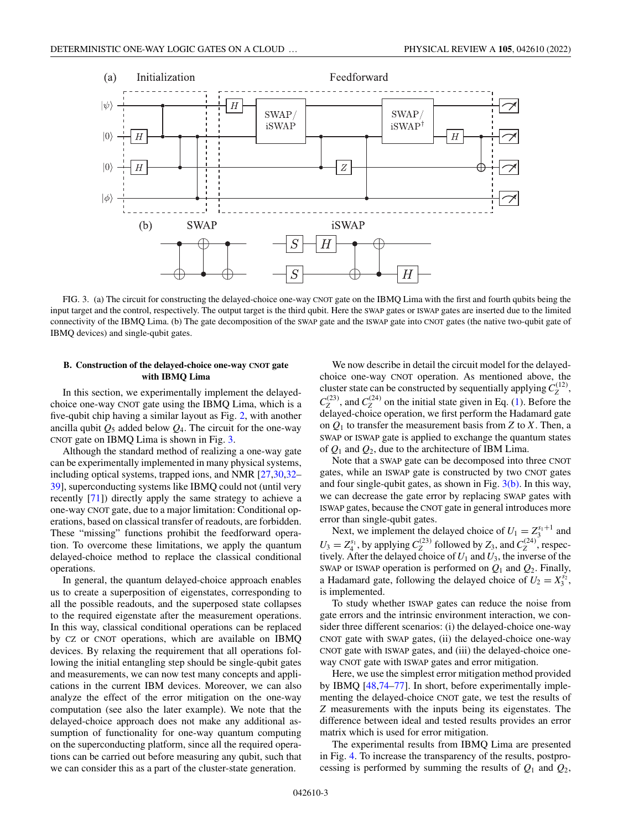<span id="page-2-0"></span>

FIG. 3. (a) The circuit for constructing the delayed-choice one-way CNOT gate on the IBMQ Lima with the first and fourth qubits being the input target and the control, respectively. The output target is the third qubit. Here the SWAP gates or ISWAP gates are inserted due to the limited connectivity of the IBMQ Lima. (b) The gate decomposition of the SWAP gate and the ISWAP gate into CNOT gates (the native two-qubit gate of IBMQ devices) and single-qubit gates.

# **B. Construction of the delayed-choice one-way CNOT gate with IBMQ Lima**

In this section, we experimentally implement the delayedchoice one-way CNOT gate using the IBMQ Lima, which is a five-qubit chip having a similar layout as Fig. [2,](#page-1-0) with another ancilla qubit  $Q_5$  added below  $Q_4$ . The circuit for the one-way CNOT gate on IBMQ Lima is shown in Fig. 3.

Although the standard method of realizing a one-way gate can be experimentally implemented in many physical systems, including optical systems, trapped ions, and NMR [\[27,30,32–](#page-10-0) [39\]](#page-10-0), superconducting systems like IBMQ could not (until very recently [\[71\]](#page-11-0)) directly apply the same strategy to achieve a one-way CNOT gate, due to a major limitation: Conditional operations, based on classical transfer of readouts, are forbidden. These "missing" functions prohibit the feedforward operation. To overcome these limitations, we apply the quantum delayed-choice method to replace the classical conditional operations.

In general, the quantum delayed-choice approach enables us to create a superposition of eigenstates, corresponding to all the possible readouts, and the superposed state collapses to the required eigenstate after the measurement operations. In this way, classical conditional operations can be replaced by CZ or CNOT operations, which are available on IBMQ devices. By relaxing the requirement that all operations following the initial entangling step should be single-qubit gates and measurements, we can now test many concepts and applications in the current IBM devices. Moreover, we can also analyze the effect of the error mitigation on the one-way computation (see also the later example). We note that the delayed-choice approach does not make any additional assumption of functionality for one-way quantum computing on the superconducting platform, since all the required operations can be carried out before measuring any qubit, such that we can consider this as a part of the cluster-state generation.

We now describe in detail the circuit model for the delayedchoice one-way CNOT operation. As mentioned above, the cluster state can be constructed by sequentially applying  $C_Z^{(12)}$ ,  $C_Z^{(23)}$ , and  $C_Z^{(24)}$  on the initial state given in Eq. [\(1\)](#page-1-0). Before the delayed-choice operation, we first perform the Hadamard gate on  $Q_1$  to transfer the measurement basis from *Z* to *X*. Then, a SWAP or ISWAP gate is applied to exchange the quantum states of  $Q_1$  and  $Q_2$ , due to the architecture of IBM Lima.

Note that a SWAP gate can be decomposed into three CNOT gates, while an ISWAP gate is constructed by two CNOT gates and four single-qubit gates, as shown in Fig.  $3(b)$ . In this way, we can decrease the gate error by replacing SWAP gates with ISWAP gates, because the CNOT gate in general introduces more error than single-qubit gates.

Next, we implement the delayed choice of  $U_1 = Z_3^{s_1+1}$  and  $U_3 = Z_4^{s_1}$ , by applying  $C_Z^{(23)}$  followed by  $Z_3$ , and  $C_Z^{(24)}$ , respectively. After the delayed choice of  $U_1$  and  $U_3$ , the inverse of the SWAP or ISWAP operation is performed on *Q*<sup>1</sup> and *Q*2. Finally, a Hadamard gate, following the delayed choice of  $U_2 = X_3^{s_2}$ , is implemented.

To study whether ISWAP gates can reduce the noise from gate errors and the intrinsic environment interaction, we consider three different scenarios: (i) the delayed-choice one-way CNOT gate with SWAP gates, (ii) the delayed-choice one-way CNOT gate with ISWAP gates, and (iii) the delayed-choice oneway CNOT gate with ISWAP gates and error mitigation.

Here, we use the simplest error mitigation method provided by IBMQ [\[48](#page-10-0)[,74–77\]](#page-11-0). In short, before experimentally implementing the delayed-choice CNOT gate, we test the results of *Z* measurements with the inputs being its eigenstates. The difference between ideal and tested results provides an error matrix which is used for error mitigation.

The experimental results from IBMQ Lima are presented in Fig. [4.](#page-3-0) To increase the transparency of the results, postprocessing is performed by summing the results of  $Q_1$  and  $Q_2$ ,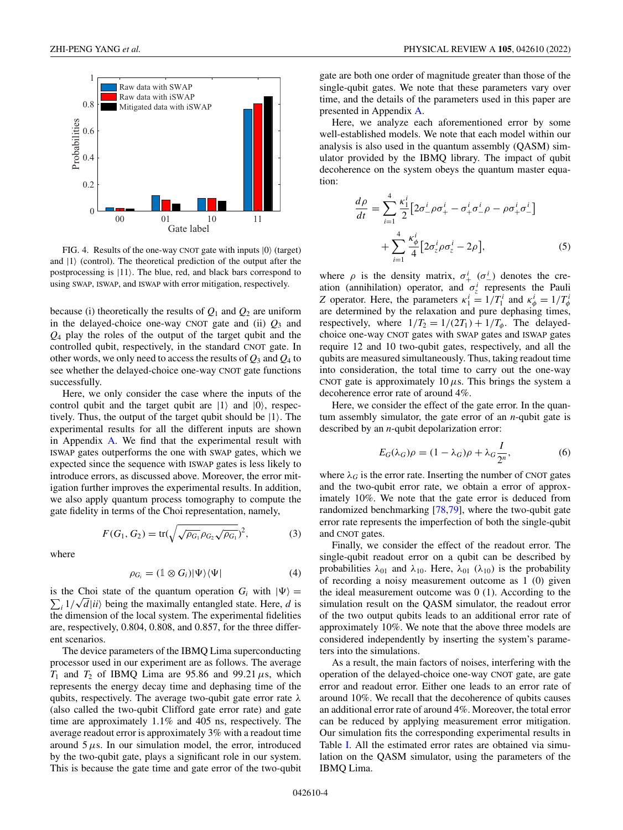<span id="page-3-0"></span>

FIG. 4. Results of the one-way CNOT gate with inputs  $|0\rangle$  (target) and  $|1\rangle$  (control). The theoretical prediction of the output after the postprocessing is  $|11\rangle$ . The blue, red, and black bars correspond to using SWAP, ISWAP, and ISWAP with error mitigation, respectively.

because (i) theoretically the results of  $Q_1$  and  $Q_2$  are uniform in the delayed-choice one-way CNOT gate and (ii)  $Q_3$  and *Q*<sup>4</sup> play the roles of the output of the target qubit and the controlled qubit, respectively, in the standard CNOT gate. In other words, we only need to access the results of  $Q_3$  and  $Q_4$  to see whether the delayed-choice one-way CNOT gate functions successfully.

Here, we only consider the case where the inputs of the control qubit and the target qubit are  $|1\rangle$  and  $|0\rangle$ , respectively. Thus, the output of the target qubit should be  $|1\rangle$ . The experimental results for all the different inputs are shown in Appendix [A.](#page-7-0) We find that the experimental result with ISWAP gates outperforms the one with SWAP gates, which we expected since the sequence with ISWAP gates is less likely to introduce errors, as discussed above. Moreover, the error mitigation further improves the experimental results. In addition, we also apply quantum process tomography to compute the gate fidelity in terms of the Choi representation, namely,

$$
F(G_1, G_2) = \text{tr}(\sqrt{\sqrt{\rho_{G_1}} \rho_{G_2} \sqrt{\rho_{G_1}}})^2, \tag{3}
$$

where

$$
\rho_{G_i} = (\mathbb{1} \otimes G_i)|\Psi\rangle\langle\Psi| \tag{4}
$$

is the Choi state of the quantum operation  $G_i$  with  $|\Psi\rangle =$  $\sum_i 1/\sqrt{d}$  *ii* being the maximally entangled state. Here, *d* is the dimension of the local system. The experimental fidelities are, respectively, 0.804, 0.808, and 0.857, for the three different scenarios.

The device parameters of the IBMQ Lima superconducting processor used in our experiment are as follows. The average  $T_1$  and  $T_2$  of IBMQ Lima are 95.86 and 99.21  $\mu$ s, which represents the energy decay time and dephasing time of the qubits, respectively. The average two-qubit gate error rate  $\lambda$ (also called the two-qubit Clifford gate error rate) and gate time are approximately 1.1% and 405 ns, respectively. The average readout error is approximately 3% with a readout time around  $5 \mu s$ . In our simulation model, the error, introduced by the two-qubit gate, plays a significant role in our system. This is because the gate time and gate error of the two-qubit gate are both one order of magnitude greater than those of the single-qubit gates. We note that these parameters vary over time, and the details of the parameters used in this paper are presented in Appendix [A.](#page-7-0)

Here, we analyze each aforementioned error by some well-established models. We note that each model within our analysis is also used in the quantum assembly (QASM) simulator provided by the IBMQ library. The impact of qubit decoherence on the system obeys the quantum master equation:

$$
\frac{d\rho}{dt} = \sum_{i=1}^{4} \frac{\kappa_1^i}{2} \left[ 2\sigma_-^i \rho \sigma_+^i - \sigma_+^i \sigma_-^i \rho - \rho \sigma_+^i \sigma_-^i \right] + \sum_{i=1}^{4} \frac{\kappa_\phi^i}{4} \left[ 2\sigma_z^i \rho \sigma_z^i - 2\rho \right],\tag{5}
$$

where  $\rho$  is the density matrix,  $\sigma^i_+$  ( $\sigma^i_-$ ) denotes the creation (annihilation) operator, and  $\sigma_z^i$  represents the Pauli *Z* operator. Here, the parameters  $\kappa_1^i = 1/T_1^i$  and  $\kappa_\phi^i = 1/T_\phi^i$ are determined by the relaxation and pure dephasing times, respectively, where  $1/T_2 = 1/(2T_1) + 1/T_\phi$ . The delayedchoice one-way CNOT gates with SWAP gates and ISWAP gates require 12 and 10 two-qubit gates, respectively, and all the qubits are measured simultaneously. Thus, taking readout time into consideration, the total time to carry out the one-way CNOT gate is approximately  $10 \mu s$ . This brings the system a decoherence error rate of around 4%.

Here, we consider the effect of the gate error. In the quantum assembly simulator, the gate error of an *n*-qubit gate is described by an *n*-qubit depolarization error:

$$
E_G(\lambda_G)\rho = (1 - \lambda_G)\rho + \lambda_G \frac{I}{2^n},
$$
\n(6)

where  $\lambda_G$  is the error rate. Inserting the number of CNOT gates and the two-qubit error rate, we obtain a error of approximately 10%. We note that the gate error is deduced from randomized benchmarking [\[78,79\]](#page-11-0), where the two-qubit gate error rate represents the imperfection of both the single-qubit and CNOT gates.

Finally, we consider the effect of the readout error. The single-qubit readout error on a qubit can be described by probabilities  $\lambda_{01}$  and  $\lambda_{10}$ . Here,  $\lambda_{01}$  ( $\lambda_{10}$ ) is the probability of recording a noisy measurement outcome as 1 (0) given the ideal measurement outcome was 0 (1). According to the simulation result on the QASM simulator, the readout error of the two output qubits leads to an additional error rate of approximately 10%. We note that the above three models are considered independently by inserting the system's parameters into the simulations.

As a result, the main factors of noises, interfering with the operation of the delayed-choice one-way CNOT gate, are gate error and readout error. Either one leads to an error rate of around 10%. We recall that the decoherence of qubits causes an additional error rate of around 4%. Moreover, the total error can be reduced by applying measurement error mitigation. Our simulation fits the corresponding experimental results in Table [I.](#page-4-0) All the estimated error rates are obtained via simulation on the QASM simulator, using the parameters of the IBMQ Lima.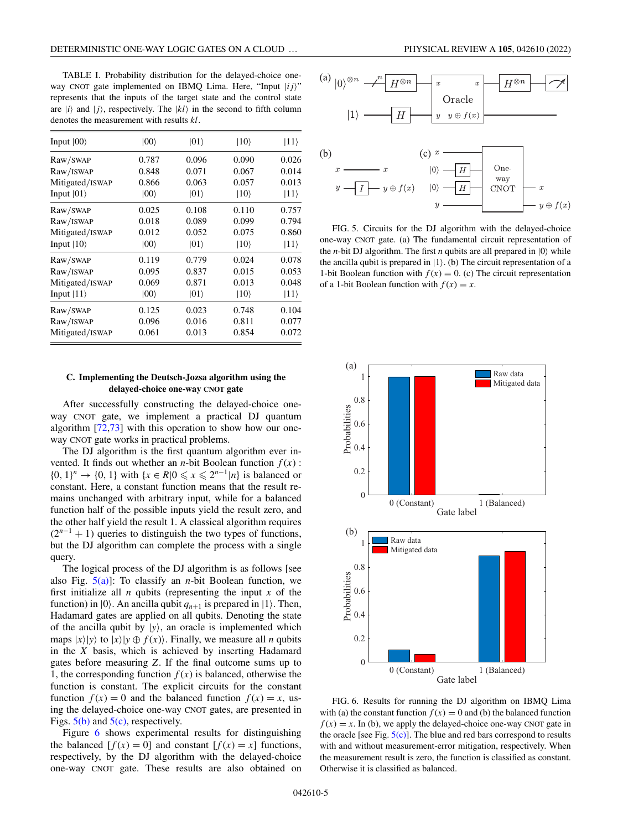<span id="page-4-0"></span>TABLE I. Probability distribution for the delayed-choice oneway CNOT gate implemented on IBMQ Lima. Here, "Input  $|ij\rangle$ " represents that the inputs of the target state and the control state are  $|i\rangle$  and  $|j\rangle$ , respectively. The  $|kl\rangle$  in the second to fifth column denotes the measurement with results *kl*.

| Input $ 00\rangle$ | $ 00\rangle$ | $ 01\rangle$ | $ 10\rangle$ | $ 11\rangle$ |
|--------------------|--------------|--------------|--------------|--------------|
| Raw/SWAP           | 0.787        | 0.096        | 0.090        | 0.026        |
| Raw/ISWAP          | 0.848        | 0.071        | 0.067        | 0.014        |
| Mitigated/ISWAP    | 0.866        | 0.063        | 0.057        | 0.013        |
| Input $ 01\rangle$ | $ 00\rangle$ | $ 01\rangle$ | $ 10\rangle$ | $ 11\rangle$ |
| Raw/SWAP           | 0.025        | 0.108        | 0.110        | 0.757        |
| Raw/ISWAP          | 0.018        | 0.089        | 0.099        | 0.794        |
| Mitigated/ISWAP    | 0.012        | 0.052        | 0.075        | 0.860        |
| Input $ 10\rangle$ | $ 00\rangle$ | $ 01\rangle$ | $ 10\rangle$ | $ 11\rangle$ |
| Raw/SWAP           | 0.119        | 0.779        | 0.024        | 0.078        |
| Raw/ISWAP          | 0.095        | 0.837        | 0.015        | 0.053        |
| Mitigated/ISWAP    | 0.069        | 0.871        | 0.013        | 0.048        |
| Input $ 11\rangle$ | $ 00\rangle$ | $ 01\rangle$ | $ 10\rangle$ | $ 11\rangle$ |
| Raw/SWAP           | 0.125        | 0.023        | 0.748        | 0.104        |
| Raw/ISWAP          | 0.096        | 0.016        | 0.811        | 0.077        |
| Mitigated/ISWAP    | 0.061        | 0.013        | 0.854        | 0.072        |

#### **C. Implementing the Deutsch-Jozsa algorithm using the delayed-choice one-way CNOT gate**

After successfully constructing the delayed-choice oneway CNOT gate, we implement a practical DJ quantum algorithm  $[72, 73]$  with this operation to show how our oneway CNOT gate works in practical problems.

The DJ algorithm is the first quantum algorithm ever invented. It finds out whether an *n*-bit Boolean function  $f(x)$ : {0, 1}<sup>*n*</sup> → {0, 1} with {*x* ∈ *R*|0  $\le x \le 2^{n-1}$ |*n*} is balanced or constant. Here, a constant function means that the result remains unchanged with arbitrary input, while for a balanced function half of the possible inputs yield the result zero, and the other half yield the result 1. A classical algorithm requires  $(2^{n-1} + 1)$  queries to distinguish the two types of functions, but the DJ algorithm can complete the process with a single query.

The logical process of the DJ algorithm is as follows [see also Fig. 5(a)]: To classify an *n*-bit Boolean function, we first initialize all  $n$  qubits (representing the input  $x$  of the function) in  $|0\rangle$ . An ancilla qubit  $q_{n+1}$  is prepared in  $|1\rangle$ . Then, Hadamard gates are applied on all qubits. Denoting the state of the ancilla qubit by  $|y\rangle$ , an oracle is implemented which maps  $|x\rangle|y\rangle$  to  $|x\rangle|y \oplus f(x)$ . Finally, we measure all *n* qubits in the *X* basis, which is achieved by inserting Hadamard gates before measuring *Z*. If the final outcome sums up to 1, the corresponding function  $f(x)$  is balanced, otherwise the function is constant. The explicit circuits for the constant function  $f(x) = 0$  and the balanced function  $f(x) = x$ , using the delayed-choice one-way CNOT gates, are presented in Figs.  $5(b)$  and  $5(c)$ , respectively.

Figure 6 shows experimental results for distinguishing the balanced  $[f(x) = 0]$  and constant  $[f(x) = x]$  functions, respectively, by the DJ algorithm with the delayed-choice one-way CNOT gate. These results are also obtained on





FIG. 5. Circuits for the DJ algorithm with the delayed-choice one-way CNOT gate. (a) The fundamental circuit representation of the *n*-bit DJ algorithm. The first *n* qubits are all prepared in  $|0\rangle$  while the ancilla qubit is prepared in  $|1\rangle$ . (b) The circuit representation of a 1-bit Boolean function with  $f(x) = 0$ . (c) The circuit representation of a 1-bit Boolean function with  $f(x) = x$ .



FIG. 6. Results for running the DJ algorithm on IBMQ Lima with (a) the constant function  $f(x) = 0$  and (b) the balanced function  $f(x) = x$ . In (b), we apply the delayed-choice one-way CNOT gate in the oracle [see Fig.  $5(c)$ ]. The blue and red bars correspond to results with and without measurement-error mitigation, respectively. When the measurement result is zero, the function is classified as constant. Otherwise it is classified as balanced.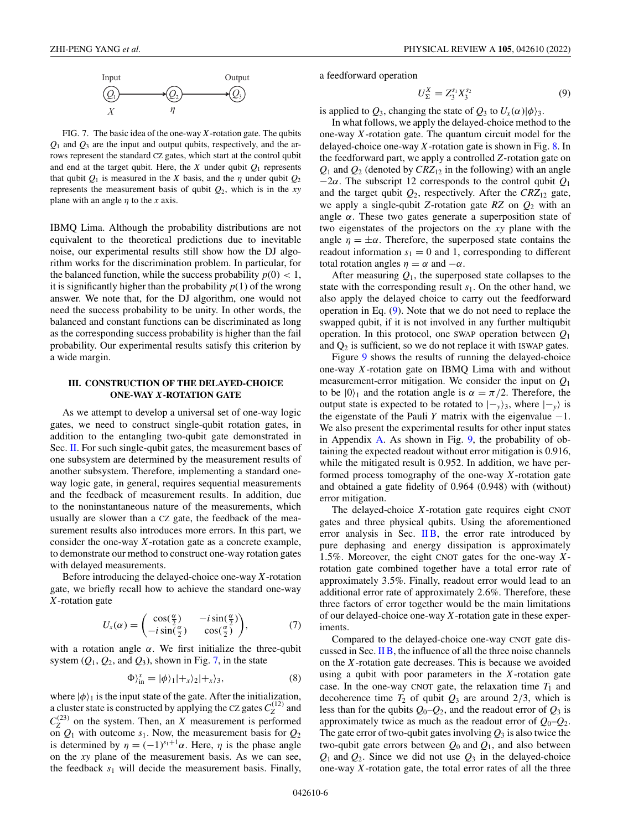<span id="page-5-0"></span>

FIG. 7. The basic idea of the one-way *X*-rotation gate. The qubits  $Q_1$  and  $Q_3$  are the input and output qubits, respectively, and the arrows represent the standard CZ gates, which start at the control qubit and end at the target qubit. Here, the  $X$  under qubit  $Q_1$  represents that qubit  $Q_1$  is measured in the *X* basis, and the  $\eta$  under qubit  $Q_2$ represents the measurement basis of qubit *Q*2, which is in the *xy* plane with an angle  $\eta$  to the *x* axis.

IBMQ Lima. Although the probability distributions are not equivalent to the theoretical predictions due to inevitable noise, our experimental results still show how the DJ algorithm works for the discrimination problem. In particular, for the balanced function, while the success probability  $p(0) < 1$ , it is significantly higher than the probability  $p(1)$  of the wrong answer. We note that, for the DJ algorithm, one would not need the success probability to be unity. In other words, the balanced and constant functions can be discriminated as long as the corresponding success probability is higher than the fail probability. Our experimental results satisfy this criterion by a wide margin.

#### **III. CONSTRUCTION OF THE DELAYED-CHOICE ONE-WAY** *X***-ROTATION GATE**

As we attempt to develop a universal set of one-way logic gates, we need to construct single-qubit rotation gates, in addition to the entangling two-qubit gate demonstrated in Sec. [II.](#page-1-0) For such single-qubit gates, the measurement bases of one subsystem are determined by the measurement results of another subsystem. Therefore, implementing a standard oneway logic gate, in general, requires sequential measurements and the feedback of measurement results. In addition, due to the noninstantaneous nature of the measurements, which usually are slower than a CZ gate, the feedback of the measurement results also introduces more errors. In this part, we consider the one-way *X*-rotation gate as a concrete example, to demonstrate our method to construct one-way rotation gates with delayed measurements.

Before introducing the delayed-choice one-way *X*-rotation gate, we briefly recall how to achieve the standard one-way *X*-rotation gate

$$
U_x(\alpha) = \begin{pmatrix} \cos(\frac{\alpha}{2}) & -i\sin(\frac{\alpha}{2})\\ -i\sin(\frac{\alpha}{2}) & \cos(\frac{\alpha}{2}) \end{pmatrix},\tag{7}
$$

with a rotation angle  $\alpha$ . We first initialize the three-qubit system  $(Q_1, Q_2, \text{ and } Q_3)$ , shown in Fig. 7, in the state

$$
\Phi\rangle_{\text{in}}^{x} = |\phi\rangle_{1}|+_{x}\rangle_{2}|+_{x}\rangle_{3},\tag{8}
$$

where  $|\phi\rangle_1$  is the input state of the gate. After the initialization, a cluster state is constructed by applying the CZ gates  $C_Z^{(12)}$  and  $C_Z^{(23)}$  on the system. Then, an *X* measurement is performed on  $Q_1$  with outcome  $s_1$ . Now, the measurement basis for  $Q_2$ is determined by  $\eta = (-1)^{s_1+1}\alpha$ . Here,  $\eta$  is the phase angle on the *xy* plane of the measurement basis. As we can see, the feedback  $s_1$  will decide the measurement basis. Finally,

a feedforward operation

$$
U_{\Sigma}^X = Z_3^{s_1} X_3^{s_2} \tag{9}
$$

is applied to  $Q_3$ , changing the state of  $Q_3$  to  $U_x(\alpha)|\phi\rangle_3$ .

In what follows, we apply the delayed-choice method to the one-way *X*-rotation gate. The quantum circuit model for the delayed-choice one-way *X*-rotation gate is shown in Fig. [8.](#page-6-0) In the feedforward part, we apply a controlled *Z*-rotation gate on  $Q_1$  and  $Q_2$  (denoted by  $CRZ_{12}$  in the following) with an angle −2α. The subscript 12 corresponds to the control qubit *Q*<sup>1</sup> and the target qubit  $Q_2$ , respectively. After the  $CRZ_{12}$  gate, we apply a single-qubit *Z*-rotation gate *RZ* on *Q*<sup>2</sup> with an angle  $\alpha$ . These two gates generate a superposition state of two eigenstates of the projectors on the *xy* plane with the angle  $\eta = \pm \alpha$ . Therefore, the superposed state contains the readout information  $s_1 = 0$  and 1, corresponding to different total rotation angles  $\eta = \alpha$  and  $-\alpha$ .

After measuring  $Q_1$ , the superposed state collapses to the state with the corresponding result *s*1. On the other hand, we also apply the delayed choice to carry out the feedforward operation in Eq. (9). Note that we do not need to replace the swapped qubit, if it is not involved in any further multiqubit operation. In this protocol, one SWAP operation between *Q*<sup>1</sup> and  $Q_2$  is sufficient, so we do not replace it with ISWAP gates.

Figure [9](#page-6-0) shows the results of running the delayed-choice one-way *X*-rotation gate on IBMQ Lima with and without measurement-error mitigation. We consider the input on *Q*<sup>1</sup> to be  $|0\rangle_1$  and the rotation angle is  $\alpha = \pi/2$ . Therefore, the output state is expected to be rotated to  $|-\mathbf{y}\rangle_3$ , where  $|-\mathbf{y}\rangle$  is the eigenstate of the Pauli *Y* matrix with the eigenvalue  $-1$ . We also present the experimental results for other input states in Appendix  $\overline{A}$ . As shown in Fig. [9,](#page-6-0) the probability of obtaining the expected readout without error mitigation is 0.916, while the mitigated result is 0.952. In addition, we have performed process tomography of the one-way *X*-rotation gate and obtained a gate fidelity of 0.964 (0.948) with (without) error mitigation.

The delayed-choice *X*-rotation gate requires eight CNOT gates and three physical qubits. Using the aforementioned error analysis in Sec.  $\overline{I}$  [II B,](#page-2-0) the error rate introduced by pure dephasing and energy dissipation is approximately 1.5%. Moreover, the eight CNOT gates for the one-way *X*rotation gate combined together have a total error rate of approximately 3.5%. Finally, readout error would lead to an additional error rate of approximately 2.6%. Therefore, these three factors of error together would be the main limitations of our delayed-choice one-way *X*-rotation gate in these experiments.

Compared to the delayed-choice one-way CNOT gate discussed in Sec. [II B,](#page-2-0) the influence of all the three noise channels on the *X*-rotation gate decreases. This is because we avoided using a qubit with poor parameters in the *X*-rotation gate case. In the one-way CNOT gate, the relaxation time  $T_1$  and decoherence time  $T_2$  of qubit  $Q_3$  are around  $2/3$ , which is less than for the qubits  $Q_0-Q_2$ , and the readout error of  $Q_3$  is approximately twice as much as the readout error of  $Q_0-Q_2$ . The gate error of two-qubit gates involving  $Q_3$  is also twice the two-qubit gate errors between  $Q_0$  and  $Q_1$ , and also between  $Q_1$  and  $Q_2$ . Since we did not use  $Q_3$  in the delayed-choice one-way *X*-rotation gate, the total error rates of all the three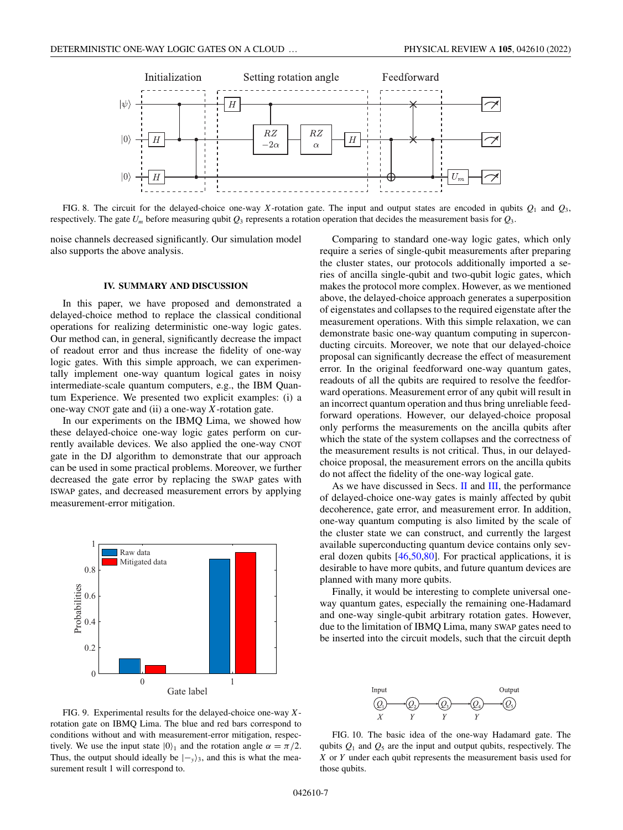<span id="page-6-0"></span>

FIG. 8. The circuit for the delayed-choice one-way *X*-rotation gate. The input and output states are encoded in qubits  $Q_1$  and  $Q_3$ , respectively. The gate  $U_m$  before measuring qubit  $Q_3$  represents a rotation operation that decides the measurement basis for  $Q_3$ .

noise channels decreased significantly. Our simulation model also supports the above analysis.

#### **IV. SUMMARY AND DISCUSSION**

In this paper, we have proposed and demonstrated a delayed-choice method to replace the classical conditional operations for realizing deterministic one-way logic gates. Our method can, in general, significantly decrease the impact of readout error and thus increase the fidelity of one-way logic gates. With this simple approach, we can experimentally implement one-way quantum logical gates in noisy intermediate-scale quantum computers, e.g., the IBM Quantum Experience. We presented two explicit examples: (i) a one-way CNOT gate and (ii) a one-way *X*-rotation gate.

In our experiments on the IBMQ Lima, we showed how these delayed-choice one-way logic gates perform on currently available devices. We also applied the one-way CNOT gate in the DJ algorithm to demonstrate that our approach can be used in some practical problems. Moreover, we further decreased the gate error by replacing the SWAP gates with ISWAP gates, and decreased measurement errors by applying measurement-error mitigation.



Comparing to standard one-way logic gates, which only require a series of single-qubit measurements after preparing the cluster states, our protocols additionally imported a series of ancilla single-qubit and two-qubit logic gates, which makes the protocol more complex. However, as we mentioned above, the delayed-choice approach generates a superposition of eigenstates and collapses to the required eigenstate after the measurement operations. With this simple relaxation, we can demonstrate basic one-way quantum computing in superconducting circuits. Moreover, we note that our delayed-choice proposal can significantly decrease the effect of measurement error. In the original feedforward one-way quantum gates, readouts of all the qubits are required to resolve the feedforward operations. Measurement error of any qubit will result in an incorrect quantum operation and thus bring unreliable feedforward operations. However, our delayed-choice proposal only performs the measurements on the ancilla qubits after which the state of the system collapses and the correctness of the measurement results is not critical. Thus, in our delayedchoice proposal, the measurement errors on the ancilla qubits do not affect the fidelity of the one-way logical gate.

As we have discussed in Secs. [II](#page-1-0) and [III,](#page-5-0) the performance of delayed-choice one-way gates is mainly affected by qubit decoherence, gate error, and measurement error. In addition, one-way quantum computing is also limited by the scale of the cluster state we can construct, and currently the largest available superconducting quantum device contains only several dozen qubits [\[46,50,](#page-10-0)[80\]](#page-11-0). For practical applications, it is desirable to have more qubits, and future quantum devices are planned with many more qubits.

Finally, it would be interesting to complete universal oneway quantum gates, especially the remaining one-Hadamard and one-way single-qubit arbitrary rotation gates. However, due to the limitation of IBMQ Lima, many SWAP gates need to be inserted into the circuit models, such that the circuit depth





FIG. 10. The basic idea of the one-way Hadamard gate. The qubits  $Q_1$  and  $Q_5$  are the input and output qubits, respectively. The *X* or *Y* under each qubit represents the measurement basis used for those qubits.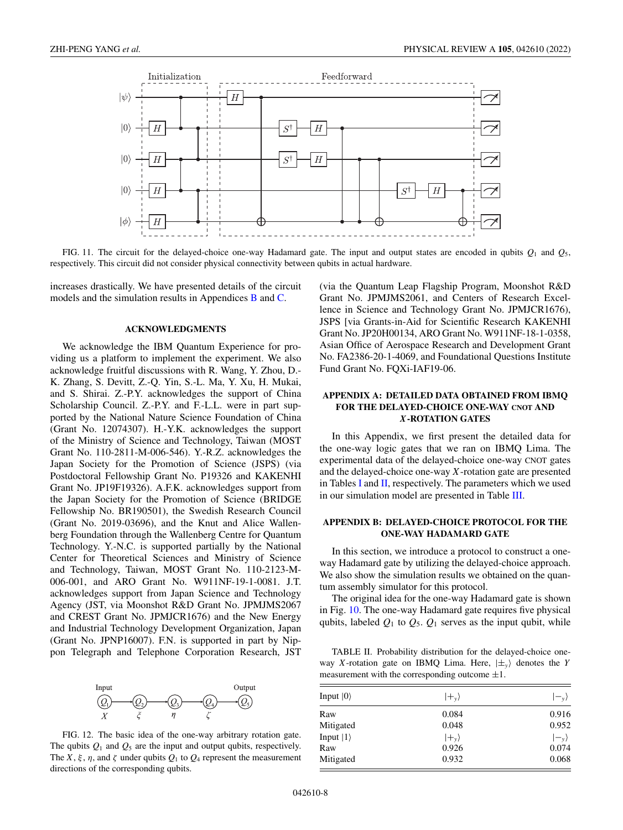<span id="page-7-0"></span>

FIG. 11. The circuit for the delayed-choice one-way Hadamard gate. The input and output states are encoded in qubits  $Q_1$  and  $Q_5$ , respectively. This circuit did not consider physical connectivity between qubits in actual hardware.

increases drastically. We have presented details of the circuit models and the simulation results in Appendices B and [C.](#page-8-0)

#### **ACKNOWLEDGMENTS**

We acknowledge the IBM Quantum Experience for providing us a platform to implement the experiment. We also acknowledge fruitful discussions with R. Wang, Y. Zhou, D.- K. Zhang, S. Devitt, Z.-Q. Yin, S.-L. Ma, Y. Xu, H. Mukai, and S. Shirai. Z.-P.Y. acknowledges the support of China Scholarship Council. Z.-P.Y. and F.-L.L. were in part supported by the National Nature Science Foundation of China (Grant No. 12074307). H.-Y.K. acknowledges the support of the Ministry of Science and Technology, Taiwan (MOST Grant No. 110-2811-M-006-546). Y.-R.Z. acknowledges the Japan Society for the Promotion of Science (JSPS) (via Postdoctoral Fellowship Grant No. P19326 and KAKENHI Grant No. JP19F19326). A.F.K. acknowledges support from the Japan Society for the Promotion of Science (BRIDGE Fellowship No. BR190501), the Swedish Research Council (Grant No. 2019-03696), and the Knut and Alice Wallenberg Foundation through the Wallenberg Centre for Quantum Technology. Y.-N.C. is supported partially by the National Center for Theoretical Sciences and Ministry of Science and Technology, Taiwan, MOST Grant No. 110-2123-M-006-001, and ARO Grant No. W911NF-19-1-0081. J.T. acknowledges support from Japan Science and Technology Agency (JST, via Moonshot R&D Grant No. JPMJMS2067 and CREST Grant No. JPMJCR1676) and the New Energy and Industrial Technology Development Organization, Japan (Grant No. JPNP16007). F.N. is supported in part by Nippon Telegraph and Telephone Corporation Research, JST



FIG. 12. The basic idea of the one-way arbitrary rotation gate. The qubits  $Q_1$  and  $Q_5$  are the input and output qubits, respectively. The *X*,  $\xi$ ,  $\eta$ , and  $\zeta$  under qubits  $Q_1$  to  $Q_4$  represent the measurement directions of the corresponding qubits.

(via the Quantum Leap Flagship Program, Moonshot R&D Grant No. JPMJMS2061, and Centers of Research Excellence in Science and Technology Grant No. JPMJCR1676), JSPS [via Grants-in-Aid for Scientific Research KAKENHI Grant No. JP20H00134, ARO Grant No. W911NF-18-1-0358, Asian Office of Aerospace Research and Development Grant No. FA2386-20-1-4069, and Foundational Questions Institute Fund Grant No. FQXi-IAF19-06.

## **APPENDIX A: DETAILED DATA OBTAINED FROM IBMQ FOR THE DELAYED-CHOICE ONE-WAY CNOT AND** *X***-ROTATION GATES**

In this Appendix, we first present the detailed data for the one-way logic gates that we ran on IBMQ Lima. The experimental data of the delayed-choice one-way CNOT gates and the delayed-choice one-way *X*-rotation gate are presented in Tables [I](#page-4-0) and II, respectively. The parameters which we used in our simulation model are presented in Table [III.](#page-8-0)

#### **APPENDIX B: DELAYED-CHOICE PROTOCOL FOR THE ONE-WAY HADAMARD GATE**

In this section, we introduce a protocol to construct a oneway Hadamard gate by utilizing the delayed-choice approach. We also show the simulation results we obtained on the quantum assembly simulator for this protocol.

The original idea for the one-way Hadamard gate is shown in Fig. [10.](#page-6-0) The one-way Hadamard gate requires five physical qubits, labeled  $Q_1$  to  $Q_5$ .  $Q_1$  serves as the input qubit, while

TABLE II. Probability distribution for the delayed-choice oneway *X*-rotation gate on IBMQ Lima. Here,  $|\pm_y\rangle$  denotes the *Y* measurement with the corresponding outcome  $\pm 1$ .

| Input $ 0\rangle$ | $ +_v\rangle$ | $ -_{v}\rangle$ |
|-------------------|---------------|-----------------|
| Raw               | 0.084         | 0.916           |
| Mitigated         | 0.048         | 0.952           |
| Input $ 1\rangle$ | $ +_v\rangle$ | $ -_{v}\rangle$ |
| Raw               | 0.926         | 0.074           |
| Mitigated         | 0.932         | 0.068           |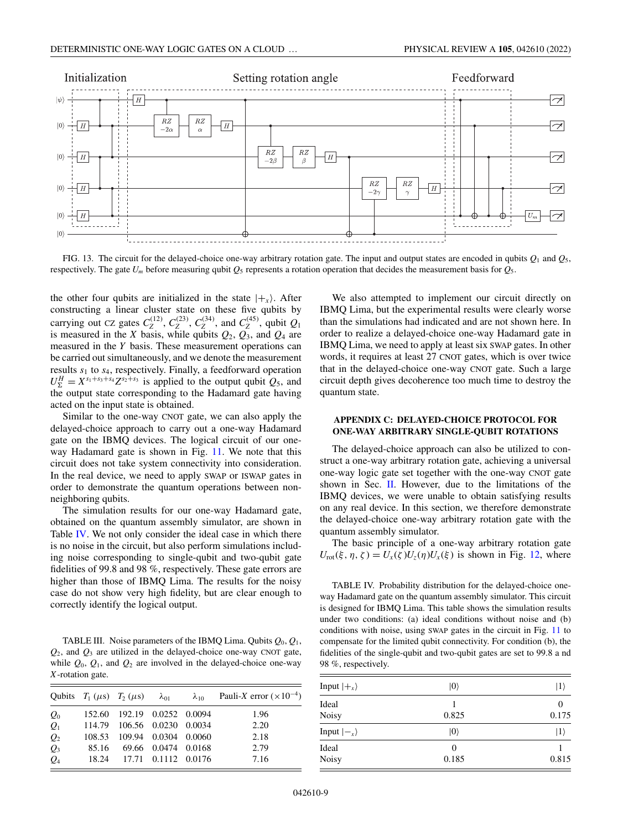<span id="page-8-0"></span>

FIG. 13. The circuit for the delayed-choice one-way arbitrary rotation gate. The input and output states are encoded in qubits  $Q_1$  and  $Q_5$ , respectively. The gate  $U_m$  before measuring qubit  $Q_5$  represents a rotation operation that decides the measurement basis for  $Q_5$ .

the other four qubits are initialized in the state  $|+_x\rangle$ . After constructing a linear cluster state on these five qubits by carrying out CZ gates  $C_Z^{(12)}$ ,  $C_Z^{(23)}$ ,  $C_Z^{(34)}$ , and  $C_Z^{(45)}$ , qubit  $Q_1$ is measured in the *X* basis, while qubits  $Q_2$ ,  $Q_3$ , and  $Q_4$  are measured in the *Y* basis. These measurement operations can be carried out simultaneously, and we denote the measurement results *s*<sup>1</sup> to *s*4, respectively. Finally, a feedforward operation  $U_{\Sigma}^{H} = X^{s_1+s_3+s_4}Z^{s_2+s_3}$  is applied to the output qubit  $Q_5$ , and the output state corresponding to the Hadamard gate having acted on the input state is obtained.

Similar to the one-way CNOT gate, we can also apply the delayed-choice approach to carry out a one-way Hadamard gate on the IBMQ devices. The logical circuit of our oneway Hadamard gate is shown in Fig. [11.](#page-7-0) We note that this circuit does not take system connectivity into consideration. In the real device, we need to apply SWAP or ISWAP gates in order to demonstrate the quantum operations between nonneighboring qubits.

The simulation results for our one-way Hadamard gate, obtained on the quantum assembly simulator, are shown in Table IV. We not only consider the ideal case in which there is no noise in the circuit, but also perform simulations including noise corresponding to single-qubit and two-qubit gate fidelities of 99.8 and 98 %, respectively. These gate errors are higher than those of IBMQ Lima. The results for the noisy case do not show very high fidelity, but are clear enough to correctly identify the logical output.

TABLE III. Noise parameters of the IBMQ Lima. Qubits  $Q_0$ ,  $Q_1$ , *Q*2, and *Q*<sup>3</sup> are utilized in the delayed-choice one-way CNOT gate, while  $Q_0$ ,  $Q_1$ , and  $Q_2$  are involved in the delayed-choice one-way *X*-rotation gate.

|                 |                             |  | Qubits $T_1 (\mu s)$ $T_2 (\mu s)$ $\lambda_{01}$ $\lambda_{10}$ Pauli-X error $(\times 10^{-4})$ |
|-----------------|-----------------------------|--|---------------------------------------------------------------------------------------------------|
| $Q_0$           | 152.60 192.19 0.0252 0.0094 |  | 1.96                                                                                              |
| $Q_1$           | 114.79 106.56 0.0230 0.0034 |  | 2.20                                                                                              |
| $\mathcal{Q}_2$ | 108.53 109.94 0.0304 0.0060 |  | 2.18                                                                                              |
| $\mathcal{Q}_3$ | 85.16 69.66 0.0474 0.0168   |  | 2.79                                                                                              |
| $Q_4$           | 18.24 17.71 0.1112 0.0176   |  | 7.16                                                                                              |

We also attempted to implement our circuit directly on IBMQ Lima, but the experimental results were clearly worse than the simulations had indicated and are not shown here. In order to realize a delayed-choice one-way Hadamard gate in IBMQ Lima, we need to apply at least six SWAP gates. In other words, it requires at least 27 CNOT gates, which is over twice that in the delayed-choice one-way CNOT gate. Such a large circuit depth gives decoherence too much time to destroy the quantum state.

## **APPENDIX C: DELAYED-CHOICE PROTOCOL FOR ONE-WAY ARBITRARY SINGLE-QUBIT ROTATIONS**

The delayed-choice approach can also be utilized to construct a one-way arbitrary rotation gate, achieving a universal one-way logic gate set together with the one-way CNOT gate shown in Sec. [II.](#page-1-0) However, due to the limitations of the IBMQ devices, we were unable to obtain satisfying results on any real device. In this section, we therefore demonstrate the delayed-choice one-way arbitrary rotation gate with the quantum assembly simulator.

The basic principle of a one-way arbitrary rotation gate  $U_{\text{rot}}(\xi, \eta, \zeta) = U_x(\zeta)U_z(\eta)U_x(\xi)$  is shown in Fig. [12,](#page-7-0) where

TABLE IV. Probability distribution for the delayed-choice oneway Hadamard gate on the quantum assembly simulator. This circuit is designed for IBMQ Lima. This table shows the simulation results under two conditions: (a) ideal conditions without noise and (b) conditions with noise, using SWAP gates in the circuit in Fig. [11](#page-7-0) to compensate for the limited qubit connectivity. For condition (b), the fidelities of the single-qubit and two-qubit gates are set to 99.8 a nd 98 %, respectively.

| Input $ +_x\rangle$ | $ 0\rangle$ | $ 1\rangle$ |
|---------------------|-------------|-------------|
| Ideal<br>Noisy      | 0.825       | 0.175       |
| Input $ -_x\rangle$ | $ 0\rangle$ | $ 1\rangle$ |
| Ideal<br>Noisy      | 0<br>0.185  | 0.815       |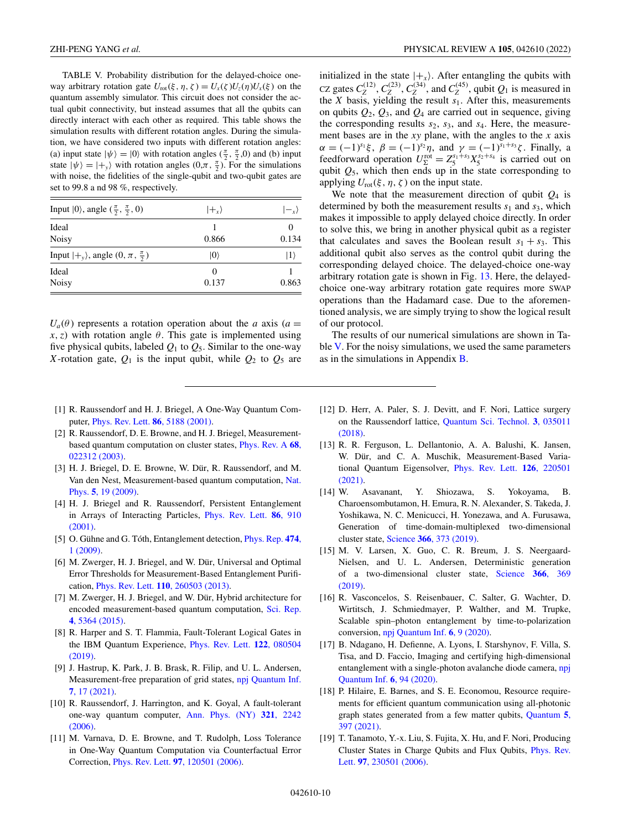<span id="page-9-0"></span>TABLE V. Probability distribution for the delayed-choice oneway arbitrary rotation gate  $U_{\text{rot}}(\xi, \eta, \zeta) = U_x(\zeta)U_z(\eta)U_x(\xi)$  on the quantum assembly simulator. This circuit does not consider the actual qubit connectivity, but instead assumes that all the qubits can directly interact with each other as required. This table shows the simulation results with different rotation angles. During the simulation, we have considered two inputs with different rotation angles: (a) input state  $|\psi\rangle = |0\rangle$  with rotation angles  $(\frac{\pi}{2}, \frac{\pi}{2}, 0)$  and (b) input state  $|\psi\rangle = |+_y\rangle$  with rotation angles  $(0, \pi, \frac{\pi}{2})$ . For the simulations with noise, the fidelities of the single-qubit and two-qubit gates are set to 99.8 a nd 98 %, respectively.

| Input $ 0\rangle$ , angle $(\frac{\pi}{2}, \frac{\pi}{2}, 0)$ | $ +_x\rangle$ | $ -_{x}\rangle$ |
|---------------------------------------------------------------|---------------|-----------------|
| Ideal<br><b>Noisy</b>                                         | 0.866         | 0.134           |
| Input $ +_y\rangle$ , angle $(0, \pi, \frac{\pi}{2})$         | $ 0\rangle$   | $ 1\rangle$     |
| Ideal<br><b>Noisy</b>                                         | 0.137         | 0.863           |

 $U_a(\theta)$  represents a rotation operation about the *a* axis (*a* =  $x, z$ ) with rotation angle  $\theta$ . This gate is implemented using five physical qubits, labeled *Q*<sup>1</sup> to *Q*5. Similar to the one-way *X*-rotation gate,  $Q_1$  is the input qubit, while  $Q_2$  to  $Q_5$  are

- [1] R. Raussendorf and H. J. Briegel, A One-Way Quantum Computer, [Phys. Rev. Lett.](https://doi.org/10.1103/PhysRevLett.86.5188) **86**, 5188 (2001).
- [2] R. Raussendorf, D. E. Browne, and H. J. Briegel, Measurement[based quantum computation on cluster states,](https://doi.org/10.1103/PhysRevA.68.022312) Phys. Rev. A **68**, 022312 (2003).
- [3] H. J. Briegel, D. E. Browne, W. Dür, R. Raussendorf, and M. [Van den Nest, Measurement-based quantum computation,](https://doi.org/10.1038/nphys1157) Nat. Phys. **5**, 19 (2009).
- [4] H. J. Briegel and R. Raussendorf, Persistent Entanglement [in Arrays of Interacting Particles,](https://doi.org/10.1103/PhysRevLett.86.910) Phys. Rev. Lett. **86**, 910 (2001).
- [5] [O. Gühne and G. Tóth, Entanglement detection,](https://doi.org/10.1016/j.physrep.2009.02.004) Phys. Rep. **474**, 1 (2009).
- [6] M. Zwerger, H. J. Briegel, and W. Dür, Universal and Optimal Error Thresholds for Measurement-Based Entanglement Purification, Phys. Rev. Lett. **110**[, 260503 \(2013\).](https://doi.org/10.1103/PhysRevLett.110.260503)
- [7] M. Zwerger, H. J. Briegel, and W. Dür, Hybrid architecture for [encoded measurement-based quantum computation,](https://doi.org/10.1038/srep05364) Sci. Rep. **4**, 5364 (2015).
- [8] R. Harper and S. T. Flammia, Fault-Tolerant Logical Gates in [the IBM Quantum Experience,](https://doi.org/10.1103/PhysRevLett.122.080504) Phys. Rev. Lett. **122**, 080504 (2019).
- [9] J. Hastrup, K. Park, J. B. Brask, R. Filip, and U. L. Andersen, [Measurement-free preparation of grid states,](https://doi.org/10.1038/s41534-020-00353-3) npj Quantum Inf. **7**, 17 (2021).
- [10] R. Raussendorf, J. Harrington, and K. Goyal, A fault-tolerant [one-way quantum computer,](https://doi.org/10.1016/j.aop.2006.01.012) Ann. Phys. (NY) **321**, 2242 (2006).
- [11] M. Varnava, D. E. Browne, and T. Rudolph, Loss Tolerance in One-Way Quantum Computation via Counterfactual Error Correction, Phys. Rev. Lett. **97**[, 120501 \(2006\).](https://doi.org/10.1103/PhysRevLett.97.120501)

initialized in the state  $|+_x\rangle$ . After entangling the qubits with  $C_Z$  gates  $C_Z^{(12)}$ ,  $C_Z^{(23)}$ ,  $C_Z^{(34)}$ , and  $C_Z^{(45)}$ , qubit  $Q_1$  is measured in the *X* basis, yielding the result *s*1. After this, measurements on qubits  $Q_2$ ,  $Q_3$ , and  $Q_4$  are carried out in sequence, giving the corresponding results *s*2, *s*3, and *s*4. Here, the measurement bases are in the *xy* plane, with the angles to the *x* axis  $\alpha = (-1)^{s_1} \xi$ ,  $\beta = (-1)^{s_2} \eta$ , and  $\gamma = (-1)^{s_1+s_3} \zeta$ . Finally, a feedforward operation  $U_{\Sigma}^{\text{rot}} = Z_5^{s_1+s_3} X_5^{s_2+s_4}$  is carried out on qubit *Q*5, which then ends up in the state corresponding to applying  $U_{\text{rot}}(\xi, \eta, \zeta)$  on the input state.

We note that the measurement direction of qubit  $Q_4$  is determined by both the measurement results  $s_1$  and  $s_3$ , which makes it impossible to apply delayed choice directly. In order to solve this, we bring in another physical qubit as a register that calculates and saves the Boolean result  $s_1 + s_3$ . This additional qubit also serves as the control qubit during the corresponding delayed choice. The delayed-choice one-way arbitrary rotation gate is shown in Fig. [13.](#page-8-0) Here, the delayedchoice one-way arbitrary rotation gate requires more SWAP operations than the Hadamard case. Due to the aforementioned analysis, we are simply trying to show the logical result of our protocol.

The results of our numerical simulations are shown in Table  $V$ . For the noisy simulations, we used the same parameters as in the simulations in Appendix [B.](#page-7-0)

- [12] D. Herr, A. Paler, S. J. Devitt, and F. Nori, Lattice surgery [on the Raussendorf lattice,](https://doi.org/10.1088/2058-9565/aac450) Quantum Sci. Technol. **3**, 035011 (2018).
- [13] R. R. Ferguson, L. Dellantonio, A. A. Balushi, K. Jansen, W. Dür, and C. A. Muschik, Measurement-Based Varia[tional Quantum Eigensolver,](https://doi.org/10.1103/PhysRevLett.126.220501) Phys. Rev. Lett. **126**, 220501 (2021).
- [14] W. Asavanant, Y. Shiozawa, S. Yokoyama, B. Charoensombutamon, H. Emura, R. N. Alexander, S. Takeda, J. Yoshikawa, N. C. Menicucci, H. Yonezawa, and A. Furusawa, Generation of time-domain-multiplexed two-dimensional cluster state, Science **366**[, 373 \(2019\).](https://doi.org/10.1126/science.aay2645)
- [15] M. V. Larsen, X. Guo, C. R. Breum, J. S. Neergaard-Nielsen, and U. L. Andersen, Deterministic generation [of a two-dimensional cluster state,](https://doi.org/10.1126/science.aay4354) Science **366**, 369 (2019).
- [16] R. Vasconcelos, S. Reisenbauer, C. Salter, G. Wachter, D. Wirtitsch, J. Schmiedmayer, P. Walther, and M. Trupke, Scalable spin–photon entanglement by time-to-polarization conversion, [npj Quantum Inf.](https://doi.org/10.1038/s41534-019-0236-x) **6**, 9 (2020).
- [17] B. Ndagano, H. Defienne, A. Lyons, I. Starshynov, F. Villa, S. Tisa, and D. Faccio, Imaging and certifying high-dimensional [entanglement with a single-photon avalanche diode camera,](https://doi.org/10.1038/s41534-020-00324-8) npj Quantum Inf. **6**, 94 (2020).
- [18] P. Hilaire, E. Barnes, and S. E. Economou, Resource requirements for efficient quantum communication using all-photonic [graph states generated from a few matter qubits,](https://doi.org/10.22331/q-2021-02-15-397) Quantum **5**, 397 (2021).
- [19] T. Tanamoto, Y.-x. Liu, S. Fujita, X. Hu, and F. Nori, Producing [Cluster States in Charge Qubits and Flux Qubits,](https://doi.org/10.1103/PhysRevLett.97.230501) Phys. Rev. Lett. **97**, 230501 (2006).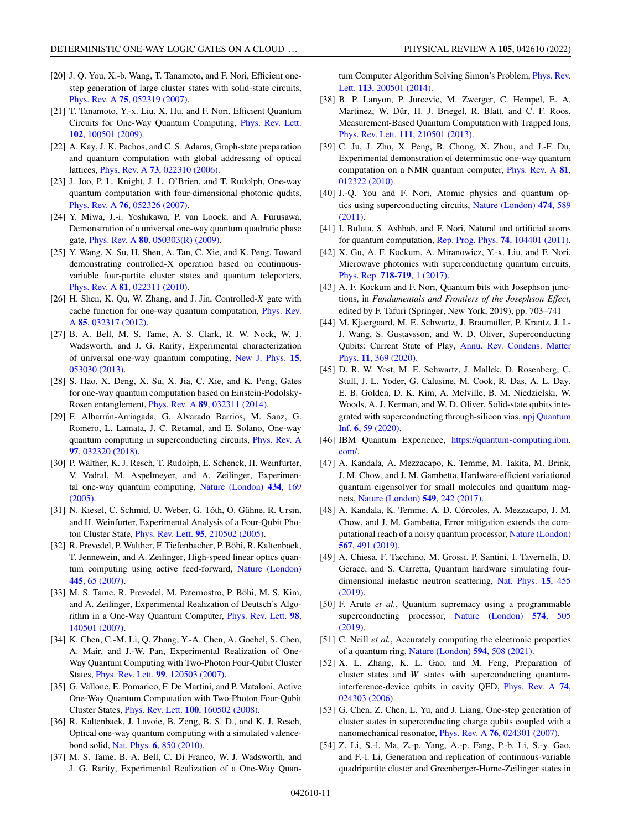- <span id="page-10-0"></span>[20] J. Q. You, X.-b. Wang, T. Tanamoto, and F. Nori, Efficient onestep generation of large cluster states with solid-state circuits, Phys. Rev. A **75**[, 052319 \(2007\).](https://doi.org/10.1103/PhysRevA.75.052319)
- [21] T. Tanamoto, Y.-x. Liu, X. Hu, and F. Nori, Efficient Quantum [Circuits for One-Way Quantum Computing,](https://doi.org/10.1103/PhysRevLett.102.100501) Phys. Rev. Lett. **102**, 100501 (2009).
- [22] A. Kay, J. K. Pachos, and C. S. Adams, Graph-state preparation and quantum computation with global addressing of optical lattices, Phys. Rev. A **73**[, 022310 \(2006\).](https://doi.org/10.1103/PhysRevA.73.022310)
- [23] J. Joo, P. L. Knight, J. L. O'Brien, and T. Rudolph, One-way quantum computation with four-dimensional photonic qudits, Phys. Rev. A **76**[, 052326 \(2007\).](https://doi.org/10.1103/PhysRevA.76.052326)
- [24] Y. Miwa, J.-i. Yoshikawa, P. van Loock, and A. Furusawa, Demonstration of a universal one-way quantum quadratic phase gate, Phys. Rev. A **80**[, 050303\(R\) \(2009\).](https://doi.org/10.1103/PhysRevA.80.050303)
- [25] Y. Wang, X. Su, H. Shen, A. Tan, C. Xie, and K. Peng, Toward demonstrating controlled-X operation based on continuousvariable four-partite cluster states and quantum teleporters, Phys. Rev. A **81**[, 022311 \(2010\).](https://doi.org/10.1103/PhysRevA.81.022311)
- [26] H. Shen, K. Qu, W. Zhang, and J. Jin, Controlled-*X* gate with [cache function for one-way quantum computation,](https://doi.org/10.1103/PhysRevA.85.032317) Phys. Rev. A **85**, 032317 (2012).
- [27] B. A. Bell, M. S. Tame, A. S. Clark, R. W. Nock, W. J. Wadsworth, and J. G. Rarity, Experimental characterization [of universal one-way quantum computing,](https://doi.org/10.1088/1367-2630/15/5/053030) New J. Phys. **15**, 053030 (2013).
- [28] S. Hao, X. Deng, X. Su, X. Jia, C. Xie, and K. Peng, Gates for one-way quantum computation based on Einstein-Podolsky-Rosen entanglement, Phys. Rev. A **89**[, 032311 \(2014\).](https://doi.org/10.1103/PhysRevA.89.032311)
- [29] F. Albarrán-Arriagada, G. Alvarado Barrios, M. Sanz, G. Romero, L. Lamata, J. C. Retamal, and E. Solano, One-way [quantum computing in superconducting circuits,](https://doi.org/10.1103/PhysRevA.97.032320) Phys. Rev. A **97**, 032320 (2018).
- [30] P. Walther, K. J. Resch, T. Rudolph, E. Schenck, H. Weinfurter, V. Vedral, M. Aspelmeyer, and A. Zeilinger, Experimen[tal one-way quantum computing,](https://doi.org/10.1038/nature03347) Nature (London) **434**, 169 (2005).
- [31] N. Kiesel, C. Schmid, U. Weber, G. Tóth, O. Gühne, R. Ursin, and H. Weinfurter, Experimental Analysis of a Four-Qubit Photon Cluster State, Phys. Rev. Lett. **95**[, 210502 \(2005\).](https://doi.org/10.1103/PhysRevLett.95.210502)
- [32] R. Prevedel, P. Walther, F. Tiefenbacher, P. Böhi, R. Kaltenbaek, T. Jennewein, and A. Zeilinger, High-speed linear optics quan[tum computing using active feed-forward,](https://doi.org/10.1038/nature05346) Nature (London) **445**, 65 (2007).
- [33] M. S. Tame, R. Prevedel, M. Paternostro, P. Böhi, M. S. Kim, and A. Zeilinger, Experimental Realization of Deutsch's Algo[rithm in a One-Way Quantum Computer,](https://doi.org/10.1103/PhysRevLett.98.140501) Phys. Rev. Lett. **98**, 140501 (2007).
- [34] K. Chen, C.-M. Li, Q. Zhang, Y.-A. Chen, A. Goebel, S. Chen, A. Mair, and J.-W. Pan, Experimental Realization of One-Way Quantum Computing with Two-Photon Four-Qubit Cluster States, Phys. Rev. Lett. **99**[, 120503 \(2007\).](https://doi.org/10.1103/PhysRevLett.99.120503)
- [35] G. Vallone, E. Pomarico, F. De Martini, and P. Mataloni, Active One-Way Quantum Computation with Two-Photon Four-Qubit Cluster States, Phys. Rev. Lett. **100**[, 160502 \(2008\).](https://doi.org/10.1103/PhysRevLett.100.160502)
- [36] R. Kaltenbaek, J. Lavoie, B. Zeng, B. S. D., and K. J. Resch, Optical one-way quantum computing with a simulated valencebond solid, Nat. Phys. **6**[, 850 \(2010\).](https://doi.org/10.1038/nphys1777)
- [37] M. S. Tame, B. A. Bell, C. Di Franco, W. J. Wadsworth, and J. G. Rarity, Experimental Realization of a One-Way Quan-

[tum Computer Algorithm Solving Simon's Problem,](https://doi.org/10.1103/PhysRevLett.113.200501) Phys. Rev. Lett. **113**, 200501 (2014).

- [38] B. P. Lanyon, P. Jurcevic, M. Zwerger, C. Hempel, E. A. Martinez, W. Dür, H. J. Briegel, R. Blatt, and C. F. Roos, Measurement-Based Quantum Computation with Trapped Ions, Phys. Rev. Lett. **111**[, 210501 \(2013\).](https://doi.org/10.1103/PhysRevLett.111.210501)
- [39] C. Ju, J. Zhu, X. Peng, B. Chong, X. Zhou, and J.-F. Du, Experimental demonstration of deterministic one-way quantum [computation on a NMR quantum computer,](https://doi.org/10.1103/PhysRevA.81.012322) Phys. Rev. A **81**, 012322 (2010).
- [40] J.-Q. You and F. Nori, Atomic physics and quantum op[tics using superconducting circuits,](https://doi.org/10.1038/nature10122) Nature (London) **474**, 589 (2011).
- [41] I. Buluta, S. Ashhab, and F. Nori, Natural and artificial atoms for quantum computation, [Rep. Prog. Phys.](https://doi.org/10.1088/0034-4885/74/10/104401) **74**, 104401 (2011).
- [42] X. Gu, A. F. Kockum, A. Miranowicz, Y.-x. Liu, and F. Nori, Microwave photonics with superconducting quantum circuits, [Phys. Rep.](https://doi.org/10.1016/j.physrep.2017.10.002) **718-719**, 1 (2017).
- [43] A. F. Kockum and F. Nori, Quantum bits with Josephson junctions, in *Fundamentals and Frontiers of the Josephson Effect*, edited by F. Tafuri (Springer, New York, 2019), pp. 703–741
- [44] M. Kjaergaard, M. E. Schwartz, J. Braumüller, P. Krantz, J. I.- J. Wang, S. Gustavsson, and W. D. Oliver, Superconducting [Qubits: Current State of Play,](https://doi.org/10.1146/annurev-conmatphys-031119-050605) Annu. Rev. Condens. Matter Phys. **11**, 369 (2020).
- [45] D. R. W. Yost, M. E. Schwartz, J. Mallek, D. Rosenberg, C. Stull, J. L. Yoder, G. Calusine, M. Cook, R. Das, A. L. Day, E. B. Golden, D. K. Kim, A. Melville, B. M. Niedzielski, W. Woods, A. J. Kerman, and W. D. Oliver, Solid-state qubits inte[grated with superconducting through-silicon vias,](https://doi.org/10.1038/s41534-020-00289-8) npj Quantum Inf. **6**, 59 (2020).
- [46] IBM Quantum Experience, [https://quantum-computing.ibm.](https://quantum-computing.ibm.com/) com/.
- [47] A. Kandala, A. Mezzacapo, K. Temme, M. Takita, M. Brink, J. M. Chow, and J. M. Gambetta, Hardware-efficient variational quantum eigensolver for small molecules and quantum magnets, [Nature \(London\)](https://doi.org/10.1038/nature23879) **549**, 242 (2017).
- [48] A. Kandala, K. Temme, A. D. Córcoles, A. Mezzacapo, J. M. Chow, and J. M. Gambetta, Error mitigation extends the com[putational reach of a noisy quantum processor,](https://doi.org/10.1038/s41586-019-1040-7) Nature (London) **567**, 491 (2019).
- [49] A. Chiesa, F. Tacchino, M. Grossi, P. Santini, I. Tavernelli, D. Gerace, and S. Carretta, Quantum hardware simulating four[dimensional inelastic neutron scattering,](https://doi.org/10.1038/s41567-019-0437-4) Nat. Phys. **15**, 455 (2019).
- [50] F. Arute *et al.*, Quantum supremacy using a programmable [superconducting processor,](https://doi.org/10.1038/s41586-019-1666-5) Nature (London) **574**, 505 (2019).
- [51] C. Neill *et al.*, Accurately computing the electronic properties of a quantum ring, [Nature \(London\)](https://doi.org/10.1038/s41586-021-03576-2) **594**, 508 (2021).
- [52] X. L. Zhang, K. L. Gao, and M. Feng, Preparation of cluster states and *W* states with superconducting quantum[interference-device qubits in cavity QED,](https://doi.org/10.1103/PhysRevA.74.024303) Phys. Rev. A **74**, 024303 (2006).
- [53] G. Chen, Z. Chen, L. Yu, and J. Liang, One-step generation of cluster states in superconducting charge qubits coupled with a nanomechanical resonator, Phys. Rev. A **76**[, 024301 \(2007\).](https://doi.org/10.1103/PhysRevA.76.024301)
- [54] Z. Li, S.-l. Ma, Z.-p. Yang, A.-p. Fang, P.-b. Li, S.-y. Gao, and F.-l. Li, Generation and replication of continuous-variable quadripartite cluster and Greenberger-Horne-Zeilinger states in